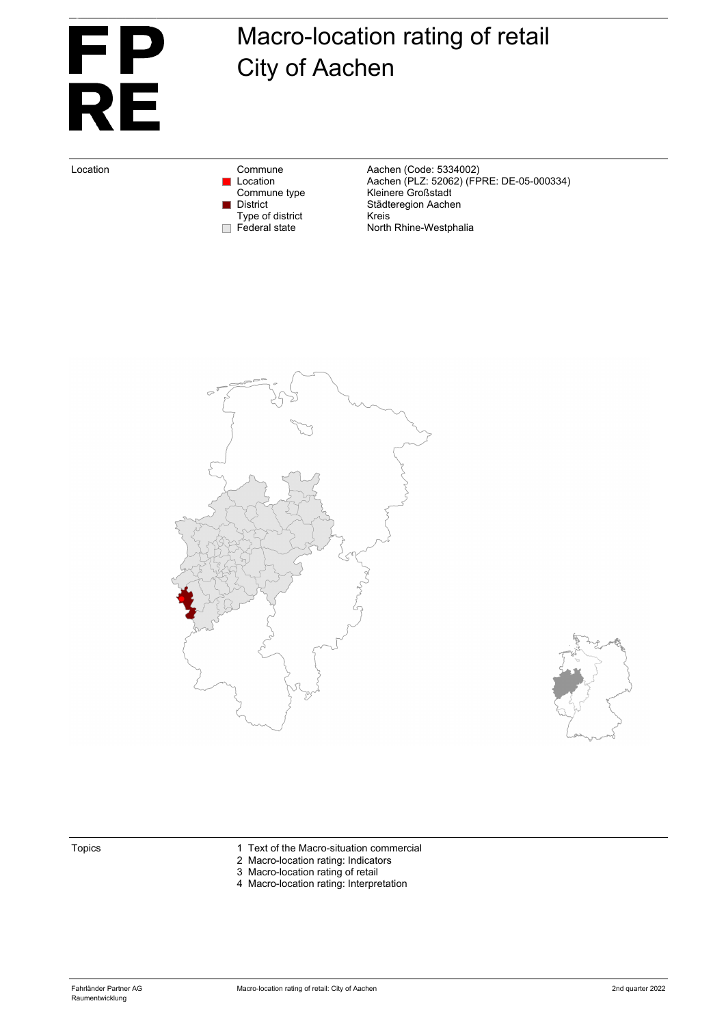# Eigentum von Fahrländer Partner AG, Zürich <u>FP</u> **RE**

## Macro-location rating of retail City of Aachen

Type of district<br>Federal state

Location Commune Commune Aachen (Code: 5334002)<br>Location Location Aachen (PLZ: 52062) (FF Location Aachen (PLZ: 52062) (FPRE: DE-05-000334) Commune type **Kleinere Großstadt** District Städteregion Aachen<br>Type of district Kreis North Rhine-Westphalia





- Topics 1 Text of the Macro-situation commercial
	- 2 Macro-location rating: Indicators
	- 3 Macro-location rating of retail
	- 4 Macro-location rating: Interpretation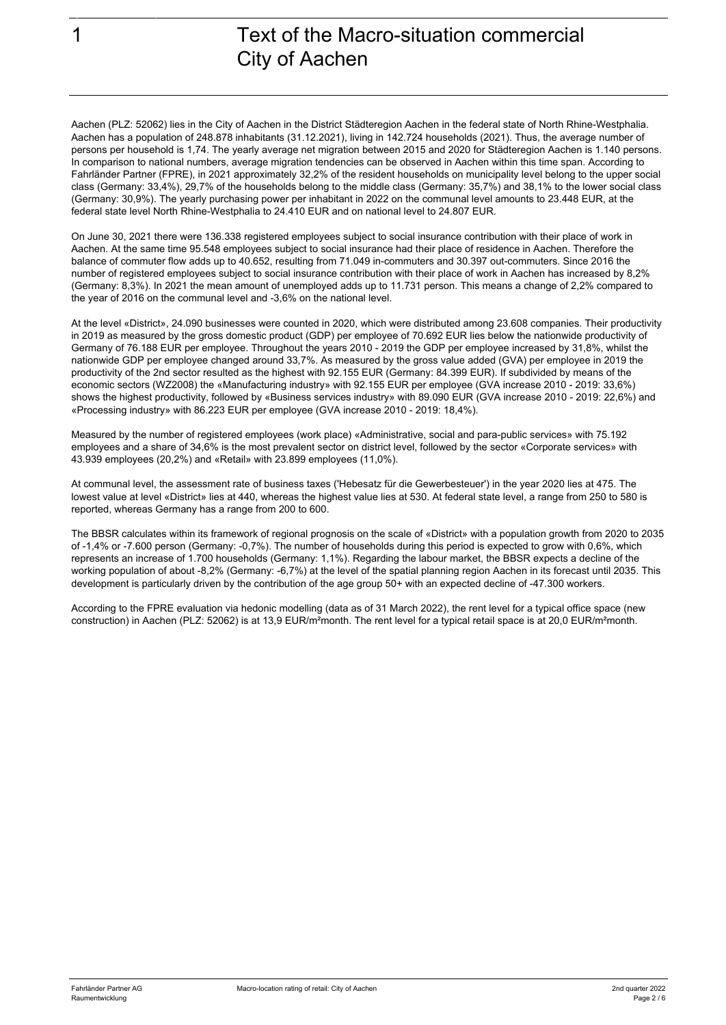Eigentum von Fahrländer Partner AG, Zürich

## 1 Text of the Macro-situation commercial City of Aachen

Aachen (PLZ: 52062) lies in the City of Aachen in the District Städteregion Aachen in the federal state of North Rhine-Westphalia. Aachen has a population of 248.878 inhabitants (31.12.2021), living in 142.724 households (2021). Thus, the average number of persons per household is 1,74. The yearly average net migration between 2015 and 2020 for Städteregion Aachen is 1.140 persons. In comparison to national numbers, average migration tendencies can be observed in Aachen within this time span. According to Fahrländer Partner (FPRE), in 2021 approximately 32,2% of the resident households on municipality level belong to the upper social class (Germany: 33,4%), 29,7% of the households belong to the middle class (Germany: 35,7%) and 38,1% to the lower social class (Germany: 30,9%). The yearly purchasing power per inhabitant in 2022 on the communal level amounts to 23.448 EUR, at the federal state level North Rhine-Westphalia to 24.410 EUR and on national level to 24.807 EUR.

On June 30, 2021 there were 136.338 registered employees subject to social insurance contribution with their place of work in Aachen. At the same time 95.548 employees subject to social insurance had their place of residence in Aachen. Therefore the balance of commuter flow adds up to 40.652, resulting from 71.049 in-commuters and 30.397 out-commuters. Since 2016 the number of registered employees subject to social insurance contribution with their place of work in Aachen has increased by 8,2% (Germany: 8,3%). In 2021 the mean amount of unemployed adds up to 11.731 person. This means a change of 2,2% compared to the year of 2016 on the communal level and -3,6% on the national level.

At the level «District», 24.090 businesses were counted in 2020, which were distributed among 23.608 companies. Their productivity in 2019 as measured by the gross domestic product (GDP) per employee of 70.692 EUR lies below the nationwide productivity of Germany of 76.188 EUR per employee. Throughout the years 2010 - 2019 the GDP per employee increased by 31,8%, whilst the nationwide GDP per employee changed around 33,7%. As measured by the gross value added (GVA) per employee in 2019 the productivity of the 2nd sector resulted as the highest with 92.155 EUR (Germany: 84.399 EUR). If subdivided by means of the economic sectors (WZ2008) the «Manufacturing industry» with 92.155 EUR per employee (GVA increase 2010 - 2019: 33,6%) shows the highest productivity, followed by «Business services industry» with 89.090 EUR (GVA increase 2010 - 2019: 22,6%) and «Processing industry» with 86.223 EUR per employee (GVA increase 2010 - 2019: 18,4%).

Measured by the number of registered employees (work place) «Administrative, social and para-public services» with 75.192 employees and a share of 34,6% is the most prevalent sector on district level, followed by the sector «Corporate services» with 43.939 employees (20,2%) and «Retail» with 23.899 employees (11,0%).

At communal level, the assessment rate of business taxes ('Hebesatz für die Gewerbesteuer') in the year 2020 lies at 475. The lowest value at level «District» lies at 440, whereas the highest value lies at 530. At federal state level, a range from 250 to 580 is reported, whereas Germany has a range from 200 to 600.

The BBSR calculates within its framework of regional prognosis on the scale of «District» with a population growth from 2020 to 2035 of -1,4% or -7.600 person (Germany: -0,7%). The number of households during this period is expected to grow with 0,6%, which represents an increase of 1.700 households (Germany: 1,1%). Regarding the labour market, the BBSR expects a decline of the working population of about -8,2% (Germany: -6,7%) at the level of the spatial planning region Aachen in its forecast until 2035. This development is particularly driven by the contribution of the age group 50+ with an expected decline of -47.300 workers.

According to the FPRE evaluation via hedonic modelling (data as of 31 March 2022), the rent level for a typical office space (new construction) in Aachen (PLZ: 52062) is at 13,9 EUR/m²month. The rent level for a typical retail space is at 20,0 EUR/m²month.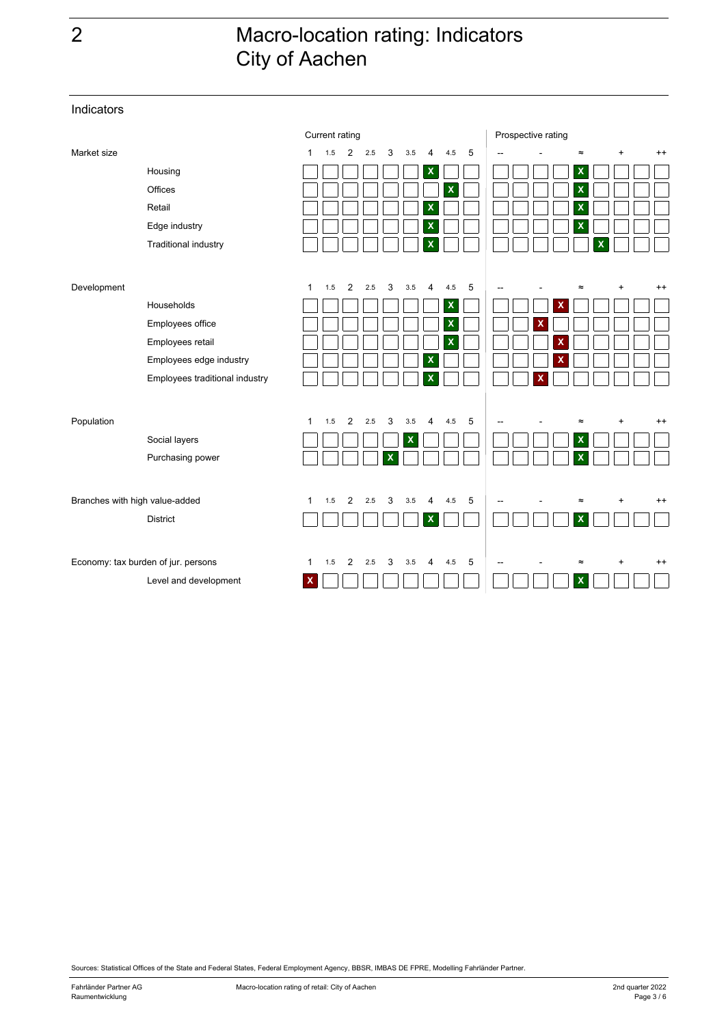## 2 Macro-location rating: Indicators City of Aachen

|                                     |                                |              | Current rating |                |     |              |     |   |                           |   | Prospective rating |                           |     |         |
|-------------------------------------|--------------------------------|--------------|----------------|----------------|-----|--------------|-----|---|---------------------------|---|--------------------|---------------------------|-----|---------|
| Market size                         |                                | $\mathbf{1}$ | 1.5            | 2              | 2.5 | 3            | 3.5 | 4 | 4.5                       | 5 |                    | $\approx$                 | $+$ | $^{++}$ |
|                                     | Housing                        |              |                |                |     |              |     | X |                           |   |                    | $\pmb{\mathsf{x}}$        |     |         |
|                                     | Offices                        |              |                |                |     |              |     |   | $\mathbf x$               |   |                    | $\mathsf{x}$              |     |         |
|                                     | Retail                         |              |                |                |     |              |     | X |                           |   |                    | χ                         |     |         |
|                                     | Edge industry                  |              |                |                |     |              |     | X |                           |   |                    | Х                         |     |         |
|                                     | Traditional industry           |              |                |                |     |              |     | X |                           |   |                    |                           | х   |         |
|                                     |                                |              |                |                |     |              |     |   |                           |   |                    |                           |     |         |
| Development                         |                                | $\mathbf 1$  | 1.5            | $\overline{2}$ | 2.5 | 3            | 3.5 | 4 | 4.5                       | 5 |                    | 2                         | ÷   | $^{++}$ |
|                                     | Households                     |              |                |                |     |              |     |   | $\boldsymbol{\mathsf{x}}$ |   |                    |                           |     |         |
|                                     | Employees office               |              |                |                |     |              |     |   | $\boldsymbol{\mathsf{x}}$ |   | X                  |                           |     |         |
|                                     | Employees retail               |              |                |                |     |              |     |   | $\overline{\mathsf{x}}$   |   |                    |                           |     |         |
|                                     | Employees edge industry        |              |                |                |     |              |     | X |                           |   |                    |                           |     |         |
|                                     | Employees traditional industry |              |                |                |     |              |     | X |                           |   |                    |                           |     |         |
|                                     |                                |              |                |                |     |              |     |   |                           |   |                    |                           |     |         |
| Population                          |                                | $\mathbf{1}$ | 1.5            | $\overline{2}$ | 2.5 | 3            | 3.5 | 4 | 4.5                       | 5 |                    | $\approx$                 |     | $^{++}$ |
|                                     | Social layers                  |              |                |                |     |              | X   |   |                           |   |                    | X                         |     |         |
|                                     | Purchasing power               |              |                |                |     | $\mathsf{x}$ |     |   |                           |   |                    | $\boldsymbol{\mathsf{x}}$ |     |         |
| Branches with high value-added      |                                | 1            | 1.5            | 2              | 2.5 | 3            | 3.5 | 4 | 4.5                       | 5 |                    | $\approx$                 |     | $^{++}$ |
|                                     | <b>District</b>                |              |                |                |     |              |     | х |                           |   |                    | X                         |     |         |
|                                     |                                |              |                |                |     |              |     |   |                           |   |                    |                           |     |         |
| Economy: tax burden of jur. persons |                                | 1            | 1.5            | 2              | 2.5 | 3            | 3.5 | 4 | 4.5                       | 5 |                    | $\approx$                 |     | $^{++}$ |
|                                     | Level and development          | $\mathbf{x}$ |                |                |     |              |     |   |                           |   |                    | $\mathbf x$               |     |         |

Sources: Statistical Offices of the State and Federal States, Federal Employment Agency, BBSR, IMBAS DE FPRE, Modelling Fahrländer Partner.

Indicators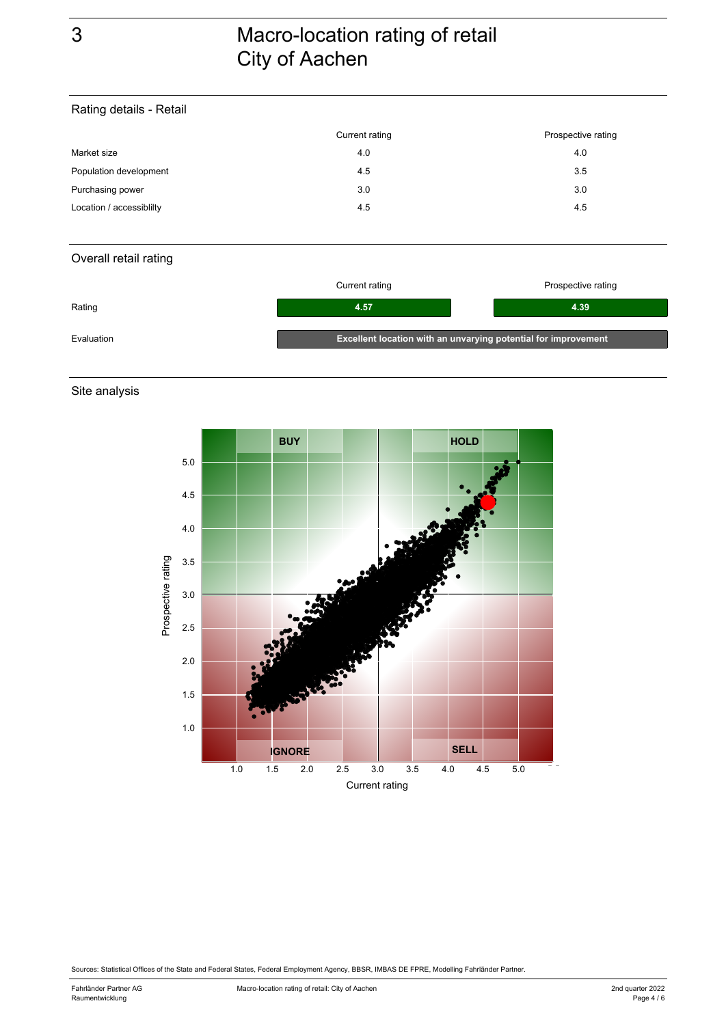## 3 Macro-location rating of retail City of Aachen

#### Rating details - Retail

|                          | Current rating | Prospective rating |
|--------------------------|----------------|--------------------|
| Market size              | 4.0            | 4.0                |
| Population development   | 4.5            | 3.5                |
| Purchasing power         | 3.0            | 3.0                |
| Location / accessiblilty | 4.5            | 4.5                |

### Overall retail rating

|            | Current rating                                                 | Prospective rating |  |  |  |  |
|------------|----------------------------------------------------------------|--------------------|--|--|--|--|
| Rating     | 4.57                                                           | 4.39               |  |  |  |  |
| Evaluation | Excellent location with an unvarying potential for improvement |                    |  |  |  |  |

Site analysis



Sources: Statistical Offices of the State and Federal States, Federal Employment Agency, BBSR, IMBAS DE FPRE, Modelling Fahrländer Partner.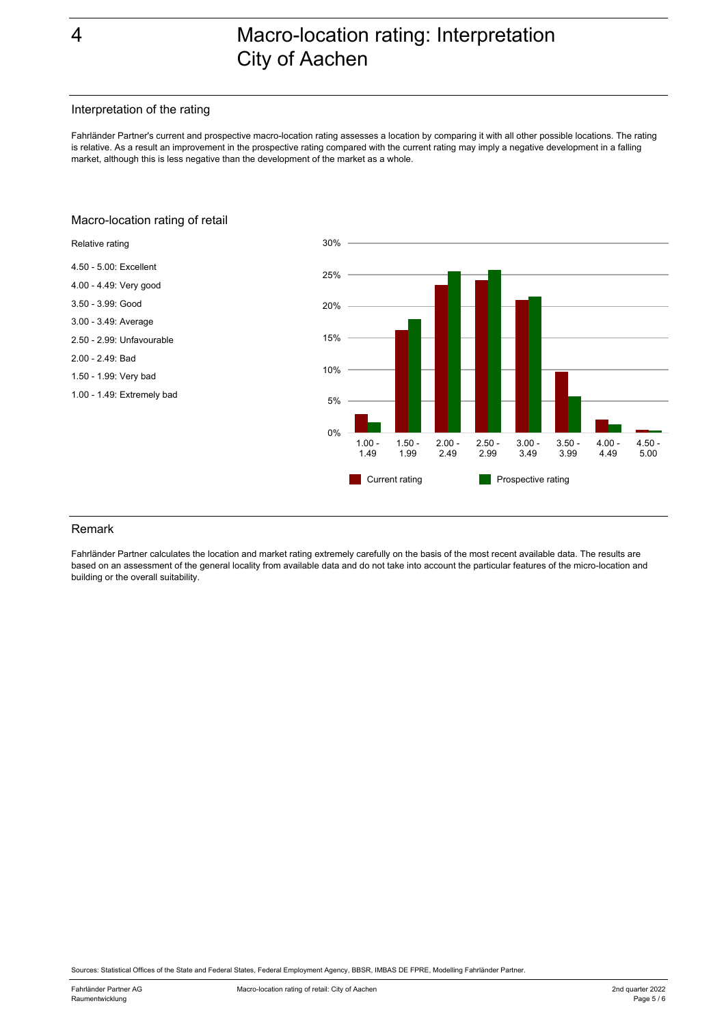## 4 Macro-location rating: Interpretation City of Aachen

#### Interpretation of the rating

Fahrländer Partner's current and prospective macro-location rating assesses a location by comparing it with all other possible locations. The rating is relative. As a result an improvement in the prospective rating compared with the current rating may imply a negative development in a falling market, although this is less negative than the development of the market as a whole.

#### 30%Relative rating 4.50 - 5.00: Excellent 25% 4.00 - 4.49: Very good 3.50 - 3.99: Good 20% 3.00 - 3.49: Average 2.50 - 2.99: Unfavourable 15% 2.00 - 2.49: Bad 10% 1.50 - 1.99: Very bad 1.00 - 1.49: Extremely bad 5% 0%  $1.00 3.00 -$ 2.00 - 4.00 - 4.50 - 1.50 - 2.50 - 3.50 - 1.49 1.99 2.49 2.99 3.49 3.99 4.49 5.00 Current rating **Prospective rating** ×.

#### Macro-location rating of retail

#### Remark

Fahrländer Partner calculates the location and market rating extremely carefully on the basis of the most recent available data. The results are based on an assessment of the general locality from available data and do not take into account the particular features of the micro-location and building or the overall suitability.

Sources: Statistical Offices of the State and Federal States, Federal Employment Agency, BBSR, IMBAS DE FPRE, Modelling Fahrländer Partner.